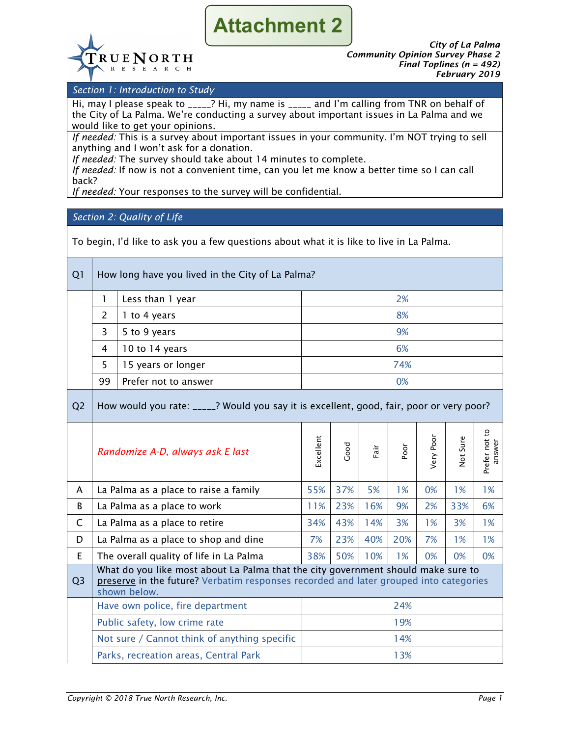



*City of La Palma Community Opinion Survey Phase 2 Final Toplines (n = 492) February 2019*

#### *Section 1: Introduction to Study*

Hi, may I please speak to \_\_\_\_\_? Hi, my name is \_\_\_\_\_ and I'm calling from TNR on behalf of the City of La Palma. We're conducting a survey about important issues in La Palma and we would like to get your opinions.

*If needed:* This is a survey about important issues in your community. I'm NOT trying to sell anything and I won't ask for a donation.

*If needed:* The survey should take about 14 minutes to complete.

*If needed:* If now is not a convenient time, can you let me know a better time so I can call back?

*If needed:* Your responses to the survey will be confidential.

#### *Section 2: Quality of Life*

To begin, I'd like to ask you a few questions about what it is like to live in La Palma.

| Q1 | How long have you lived in the City of La Palma? |                      |     |  |  |  |  |  |  |
|----|--------------------------------------------------|----------------------|-----|--|--|--|--|--|--|
|    |                                                  | Less than 1 year     | 2%  |  |  |  |  |  |  |
|    |                                                  | 1 to 4 years         | 8%  |  |  |  |  |  |  |
|    | 3                                                | 5 to 9 years         | 9%  |  |  |  |  |  |  |
|    | 4                                                | 10 to 14 years       | 6%  |  |  |  |  |  |  |
|    | 5                                                | 15 years or longer   | 74% |  |  |  |  |  |  |
|    | 99                                               | Prefer not to answer | 0%  |  |  |  |  |  |  |

## $Q2$  How would you rate:  $\frac{1}{2}$  Would you say it is excellent, good, fair, poor or very poor?

|                | Randomize A-D, always ask E last                                                                                                                                                           | Excellent | Good | Fair | Poor  | Very Poor | Not Sure | Prefer not to<br>answer |
|----------------|--------------------------------------------------------------------------------------------------------------------------------------------------------------------------------------------|-----------|------|------|-------|-----------|----------|-------------------------|
| A              | La Palma as a place to raise a family                                                                                                                                                      | 55%       | 37%  | 5%   | $1\%$ | 0%        | $1\%$    | $1\%$                   |
| B              | La Palma as a place to work                                                                                                                                                                | 11%       | 23%  | 16%  | 9%    | 2%        | 33%      | 6%                      |
| C              | La Palma as a place to retire                                                                                                                                                              | 34%       | 43%  | 14%  | 3%    | $1\%$     | 3%       | 1%                      |
| D              | La Palma as a place to shop and dine                                                                                                                                                       | 7%        | 23%  | 40%  | 20%   | 7%        | $1\%$    | $1\%$                   |
| E.             | The overall quality of life in La Palma                                                                                                                                                    | 38%       | 50%  | 10%  | $1\%$ | 0%        | 0%       | 0%                      |
| Q <sub>3</sub> | What do you like most about La Palma that the city government should make sure to<br>preserve in the future? Verbatim responses recorded and later grouped into categories<br>shown below. |           |      |      |       |           |          |                         |
|                | Have own police, fire department                                                                                                                                                           |           |      |      | 24%   |           |          |                         |
|                | Public safety, low crime rate                                                                                                                                                              | 19%       |      |      |       |           |          |                         |
|                | Not sure / Cannot think of anything specific                                                                                                                                               |           |      |      | 14%   |           |          |                         |
|                | Parks, recreation areas, Central Park                                                                                                                                                      |           |      |      | 13%   |           |          |                         |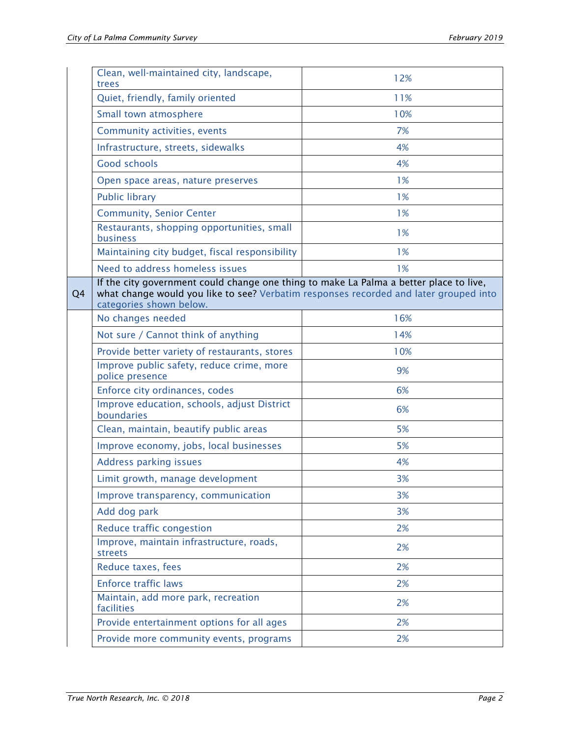|    | Clean, well-maintained city, landscape,<br>trees                                                                                                                                                           | 12% |
|----|------------------------------------------------------------------------------------------------------------------------------------------------------------------------------------------------------------|-----|
|    | Quiet, friendly, family oriented                                                                                                                                                                           | 11% |
|    | Small town atmosphere                                                                                                                                                                                      | 10% |
|    | Community activities, events                                                                                                                                                                               | 7%  |
|    | Infrastructure, streets, sidewalks                                                                                                                                                                         | 4%  |
|    | <b>Good schools</b>                                                                                                                                                                                        | 4%  |
|    | Open space areas, nature preserves                                                                                                                                                                         | 1%  |
|    | <b>Public library</b>                                                                                                                                                                                      | 1%  |
|    | <b>Community, Senior Center</b>                                                                                                                                                                            | 1%  |
|    | Restaurants, shopping opportunities, small<br>business                                                                                                                                                     | 1%  |
|    | Maintaining city budget, fiscal responsibility                                                                                                                                                             | 1%  |
|    | Need to address homeless issues                                                                                                                                                                            | 1%  |
| Q4 | If the city government could change one thing to make La Palma a better place to live,<br>what change would you like to see? Verbatim responses recorded and later grouped into<br>categories shown below. |     |
|    | No changes needed                                                                                                                                                                                          | 16% |
|    | Not sure / Cannot think of anything                                                                                                                                                                        | 14% |
|    | Provide better variety of restaurants, stores                                                                                                                                                              | 10% |
|    | Improve public safety, reduce crime, more<br>police presence                                                                                                                                               | 9%  |
|    | Enforce city ordinances, codes                                                                                                                                                                             | 6%  |
|    | Improve education, schools, adjust District<br>boundaries                                                                                                                                                  | 6%  |
|    | Clean, maintain, beautify public areas                                                                                                                                                                     | 5%  |
|    | Improve economy, jobs, local businesses                                                                                                                                                                    | 5%  |
|    | Address parking issues                                                                                                                                                                                     | 4%  |
|    | Limit growth, manage development                                                                                                                                                                           | 3%  |
|    | Improve transparency, communication                                                                                                                                                                        | 3%  |
|    | Add dog park                                                                                                                                                                                               | 3%  |
|    | Reduce traffic congestion                                                                                                                                                                                  | 2%  |
|    | Improve, maintain infrastructure, roads,<br>streets                                                                                                                                                        | 2%  |
|    | Reduce taxes, fees                                                                                                                                                                                         | 2%  |
|    | <b>Enforce traffic laws</b>                                                                                                                                                                                | 2%  |
|    | Maintain, add more park, recreation<br>facilities                                                                                                                                                          | 2%  |
|    | Provide entertainment options for all ages                                                                                                                                                                 | 2%  |
|    | Provide more community events, programs                                                                                                                                                                    | 2%  |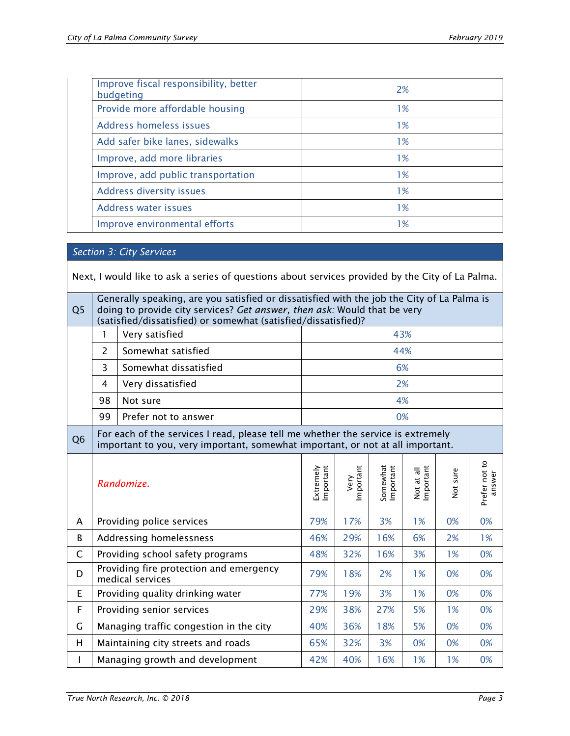| Improve fiscal responsibility, better<br>budgeting | 2% |
|----------------------------------------------------|----|
| Provide more affordable housing                    | 1% |
| Address homeless issues                            | 1% |
| Add safer bike lanes, sidewalks                    | 1% |
| Improve, add more libraries                        | 1% |
| Improve, add public transportation                 | 1% |
| Address diversity issues                           | 1% |
| <b>Address water issues</b>                        | 1% |
| Improve environmental efforts                      | 1% |

# *Section 3: City Services*

Next, I would like to ask a series of questions about services provided by the City of La Palma.

| Q <sub>5</sub> | Generally speaking, are you satisfied or dissatisfied with the job the City of La Palma is<br>doing to provide city services? Get answer, then ask: Would that be very<br>(satisfied/dissatisfied) or somewhat (satisfied/dissatisfied)? |                                                                                  |     |  |  |  |  |  |  |
|----------------|------------------------------------------------------------------------------------------------------------------------------------------------------------------------------------------------------------------------------------------|----------------------------------------------------------------------------------|-----|--|--|--|--|--|--|
|                |                                                                                                                                                                                                                                          | Very satisfied                                                                   | 43% |  |  |  |  |  |  |
|                | 2                                                                                                                                                                                                                                        | Somewhat satisfied                                                               | 44% |  |  |  |  |  |  |
|                | 3                                                                                                                                                                                                                                        | Somewhat dissatisfied                                                            | 6%  |  |  |  |  |  |  |
|                | 4                                                                                                                                                                                                                                        | Very dissatisfied                                                                | 2%  |  |  |  |  |  |  |
|                | 98                                                                                                                                                                                                                                       | Not sure                                                                         | 4%  |  |  |  |  |  |  |
|                | 99                                                                                                                                                                                                                                       | Prefer not to answer                                                             | 0%  |  |  |  |  |  |  |
|                |                                                                                                                                                                                                                                          | For each of the services I read, please tell me whether the service is extremely |     |  |  |  |  |  |  |

 $Q6$   $\overline{\phantom{a}}$  For each of the services I read, please tell me whether the service is extremely important to you, very important, somewhat important, or not at all important.

|   | Randomize.                                                  | Extremely<br>Important | Important<br>Very | Somewhat<br>Important | Not at all<br>Important | sure<br>$\frac{5}{2}$ | °<br>Prefer not<br>answer |
|---|-------------------------------------------------------------|------------------------|-------------------|-----------------------|-------------------------|-----------------------|---------------------------|
| A | Providing police services                                   | 79%                    | 17%               | 3%                    | 1%                      | 0%                    | 0%                        |
| B | Addressing homelessness                                     | 46%                    | 29%               | 16%                   | 6%                      | 2%                    | 1%                        |
| C | Providing school safety programs                            | 48%                    | 32%               | 16%                   | 3%                      | $1\%$                 | 0%                        |
| D | Providing fire protection and emergency<br>medical services | 79%                    | 18%               | 2%                    | $1\%$                   | 0%                    | 0%                        |
| E | Providing quality drinking water                            | 77%                    | 19%               | 3%                    | 1%                      | 0%                    | 0%                        |
| F | Providing senior services                                   | 29%                    | 38%               | 27%                   | 5%                      | 1%                    | 0%                        |
| G | Managing traffic congestion in the city                     | 40%                    | 36%               | 18%                   | 5%                      | 0%                    | 0%                        |
| H | Maintaining city streets and roads                          | 65%                    | 32%               | 3%                    | 0%                      | 0%                    | 0%                        |
|   | Managing growth and development                             | 42%                    | 40%               | 16%                   | 1%                      | 1%                    | 0%                        |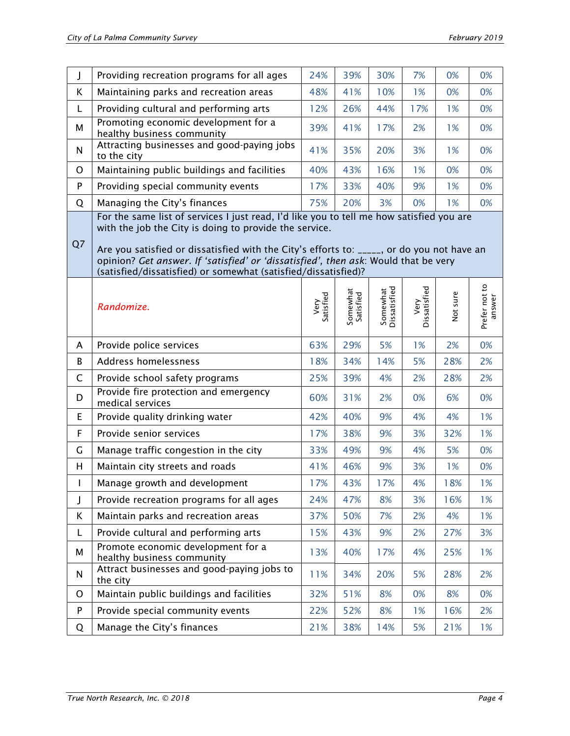| J            | Providing recreation programs for all ages                                                                                                                                                                                                                                                                                                                                                                | 24%               | 39%                   | 30%                      | 7%                   | 0%       | 0%                      |  |  |
|--------------|-----------------------------------------------------------------------------------------------------------------------------------------------------------------------------------------------------------------------------------------------------------------------------------------------------------------------------------------------------------------------------------------------------------|-------------------|-----------------------|--------------------------|----------------------|----------|-------------------------|--|--|
| K            | Maintaining parks and recreation areas                                                                                                                                                                                                                                                                                                                                                                    | 48%               | 41%                   | 10%                      | 1%                   | 0%       | 0%                      |  |  |
| L            | Providing cultural and performing arts                                                                                                                                                                                                                                                                                                                                                                    | 12%               | 26%                   | 44%                      | 17%                  | 1%       | 0%                      |  |  |
| M            | Promoting economic development for a<br>healthy business community                                                                                                                                                                                                                                                                                                                                        | 39%               | 41%                   | 17%                      | 2%                   | 1%       | 0%                      |  |  |
| N            | Attracting businesses and good-paying jobs<br>to the city                                                                                                                                                                                                                                                                                                                                                 | 41%               | 35%                   | 20%                      | 3%                   | 1%       | 0%                      |  |  |
| $\mathsf{O}$ | Maintaining public buildings and facilities                                                                                                                                                                                                                                                                                                                                                               | 40%               | 43%                   | 16%                      | 1%                   | 0%       | 0%                      |  |  |
| P            | Providing special community events                                                                                                                                                                                                                                                                                                                                                                        | 17%               | 33%                   | 40%                      | 9%                   | 1%       | 0%                      |  |  |
| Q            | Managing the City's finances                                                                                                                                                                                                                                                                                                                                                                              | 75%               | 20%                   | 3%                       | 0%                   | 1%       | 0%                      |  |  |
| Q7           | For the same list of services I just read, I'd like you to tell me how satisfied you are<br>with the job the City is doing to provide the service.<br>Are you satisfied or dissatisfied with the City's efforts to: _____, or do you not have an<br>opinion? Get answer. If 'satisfied' or 'dissatisfied', then ask: Would that be very<br>(satisfied/dissatisfied) or somewhat (satisfied/dissatisfied)? |                   |                       |                          |                      |          |                         |  |  |
|              | Randomize.                                                                                                                                                                                                                                                                                                                                                                                                | Satisfied<br>Very | Somewhat<br>Satisfied | Somewhat<br>Dissatisfied | Very<br>Dissatisfied | Not sure | Prefer not to<br>answer |  |  |
| A            | Provide police services                                                                                                                                                                                                                                                                                                                                                                                   | 63%               | 29%                   | 5%                       | 1%                   | 2%       | 0%                      |  |  |
| B            | Address homelessness                                                                                                                                                                                                                                                                                                                                                                                      | 18%               | 34%                   | 14%                      | 5%                   | 28%      | 2%                      |  |  |
| C            | Provide school safety programs                                                                                                                                                                                                                                                                                                                                                                            | 25%               | 39%                   | 4%                       | 2%                   | 28%      | 2%                      |  |  |
| D            | Provide fire protection and emergency<br>medical services                                                                                                                                                                                                                                                                                                                                                 | 60%               | 31%                   | 2%                       | 0%                   | 6%       | 0%                      |  |  |
| E            | Provide quality drinking water                                                                                                                                                                                                                                                                                                                                                                            | 42%               | 40%                   | 9%                       | 4%                   | 4%       | 1%                      |  |  |
| $\mathsf F$  | Provide senior services                                                                                                                                                                                                                                                                                                                                                                                   | 17%               | 38%                   | 9%                       | 3%                   | 32%      | 1%                      |  |  |
| G            | Manage traffic congestion in the city                                                                                                                                                                                                                                                                                                                                                                     | 33%               | 49%                   | 9%                       | 4%                   | 5%       | 0%                      |  |  |
| н            | Maintain city streets and roads                                                                                                                                                                                                                                                                                                                                                                           | 41%               | 46%                   | 9%                       | 3%                   | 1%       | 0%                      |  |  |
| L            | Manage growth and development                                                                                                                                                                                                                                                                                                                                                                             | 17%               | 43%                   | 17%                      | 4%                   | 18%      | 1%                      |  |  |
| J            | Provide recreation programs for all ages                                                                                                                                                                                                                                                                                                                                                                  | 24%               | 47%                   | 8%                       | 3%                   | 16%      | 1%                      |  |  |
| K            | Maintain parks and recreation areas                                                                                                                                                                                                                                                                                                                                                                       | 37%               | 50%                   | 7%                       | 2%                   | 4%       | 1%                      |  |  |
| L            | Provide cultural and performing arts                                                                                                                                                                                                                                                                                                                                                                      | 15%               | 43%                   | 9%                       | 2%                   | 27%      | 3%                      |  |  |
| М            | Promote economic development for a<br>healthy business community                                                                                                                                                                                                                                                                                                                                          | 13%               | 40%                   | 17%                      | 4%                   | 25%      | 1%                      |  |  |
| N            | Attract businesses and good-paying jobs to<br>the city                                                                                                                                                                                                                                                                                                                                                    | 11%               | 34%                   | 20%                      | 5%                   | 28%      | 2%                      |  |  |
| O            | Maintain public buildings and facilities                                                                                                                                                                                                                                                                                                                                                                  | 32%               | 51%                   | 8%                       | 0%                   | 8%       | 0%                      |  |  |
| P            | Provide special community events                                                                                                                                                                                                                                                                                                                                                                          | 22%               | 52%                   | 8%                       | 1%                   | 16%      | 2%                      |  |  |
| Q            | Manage the City's finances                                                                                                                                                                                                                                                                                                                                                                                | 21%               | 38%                   | 14%                      | 5%                   | 21%      | 1%                      |  |  |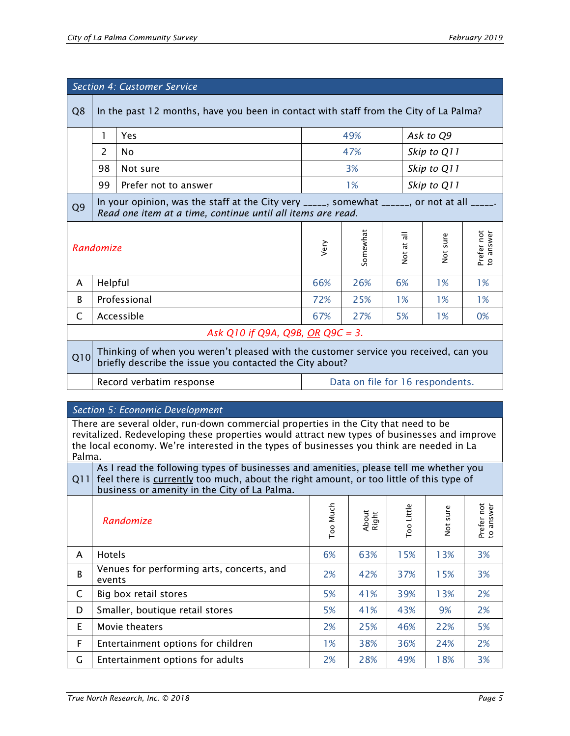|                | <b>Section 4: Customer Service</b>                                                                                                                          |                                                                                                                                                  |          |                     |          |                                  |       |  |  |  |
|----------------|-------------------------------------------------------------------------------------------------------------------------------------------------------------|--------------------------------------------------------------------------------------------------------------------------------------------------|----------|---------------------|----------|----------------------------------|-------|--|--|--|
| Q8             | In the past 12 months, have you been in contact with staff from the City of La Palma?                                                                       |                                                                                                                                                  |          |                     |          |                                  |       |  |  |  |
|                | 49%<br>Ask to Q9<br>Yes<br>1                                                                                                                                |                                                                                                                                                  |          |                     |          |                                  |       |  |  |  |
|                | $\mathcal{P}$                                                                                                                                               | No                                                                                                                                               |          | 47%                 |          | Skip to Q11                      |       |  |  |  |
|                | 98                                                                                                                                                          | Not sure                                                                                                                                         |          | 3%                  |          | Skip to Q11                      |       |  |  |  |
|                | 99                                                                                                                                                          | Prefer not to answer                                                                                                                             |          | 1%                  |          | Skip to Q11                      |       |  |  |  |
| Q <sub>9</sub> | In your opinion, was the staff at the City very _____, somewhat ______, or not at all _____.<br>Read one item at a time, continue until all items are read. |                                                                                                                                                  |          |                     |          |                                  |       |  |  |  |
| Randomize      |                                                                                                                                                             | Very                                                                                                                                             | Somewhat | $\bar{a}$<br>Not at | Not sure | Prefer not<br>to answer          |       |  |  |  |
| A              | Helpful                                                                                                                                                     |                                                                                                                                                  | 66%      | 26%                 | 6%       | $1\%$                            | $1\%$ |  |  |  |
| B              |                                                                                                                                                             | Professional                                                                                                                                     | 72%      | 25%                 | 1%       | $1\%$                            | $1\%$ |  |  |  |
| C              |                                                                                                                                                             | Accessible                                                                                                                                       | 67%      | 27%                 | 5%       | 1%                               | 0%    |  |  |  |
|                |                                                                                                                                                             | Ask Q10 if Q9A, Q9B, OR Q9C = 3.                                                                                                                 |          |                     |          |                                  |       |  |  |  |
| Q10            |                                                                                                                                                             | Thinking of when you weren't pleased with the customer service you received, can you<br>briefly describe the issue you contacted the City about? |          |                     |          |                                  |       |  |  |  |
|                |                                                                                                                                                             | Record verbatim response                                                                                                                         |          |                     |          | Data on file for 16 respondents. |       |  |  |  |

#### *Section 5: Economic Development*

There are several older, run-down commercial properties in the City that need to be revitalized. Redeveloping these properties would attract new types of businesses and improve the local economy. We're interested in the types of businesses you think are needed in La Palma.

Q11| feel there is <u>currently</u> too much, about the right amount, or too little of this type of As I read the following types of businesses and amenities, please tell me whether you business or amenity in the City of La Palma.

|   | Randomize                                           | Too Much | About<br>Right | Too Little | sure<br>$\frac{5}{2}$ | not<br>wer<br>ans<br>Prefer |
|---|-----------------------------------------------------|----------|----------------|------------|-----------------------|-----------------------------|
| A | <b>Hotels</b>                                       | 6%       | 63%            | 15%        | 13%                   | 3%                          |
| B | Venues for performing arts, concerts, and<br>events | 2%       | 42%            | 37%        | 15%                   | 3%                          |
| C | Big box retail stores                               | 5%       | 41%            | 39%        | 13%                   | 2%                          |
| D | Smaller, boutique retail stores                     | 5%       | 41%            | 43%        | 9%                    | 2%                          |
| E | Movie theaters                                      | 2%       | 25%            | 46%        | 22%                   | 5%                          |
| F | Entertainment options for children                  | 1%       | 38%            | 36%        | 24%                   | 2%                          |
| G | Entertainment options for adults                    | 2%       | 28%            | 49%        | 18%                   | 3%                          |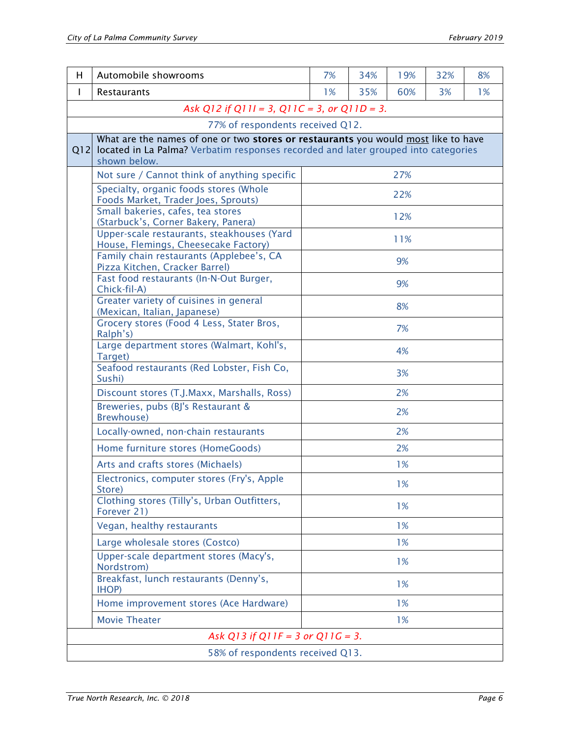| H | Automobile showrooms                                                                                                                                                                         | 7% | 34% | 19% | 32% | 8% |  |  |  |
|---|----------------------------------------------------------------------------------------------------------------------------------------------------------------------------------------------|----|-----|-----|-----|----|--|--|--|
| L | Restaurants                                                                                                                                                                                  | 1% | 35% | 60% | 3%  | 1% |  |  |  |
|   | Ask Q12 if Q111 = 3, Q11C = 3, or Q11D = 3.                                                                                                                                                  |    |     |     |     |    |  |  |  |
|   | 77% of respondents received Q12.                                                                                                                                                             |    |     |     |     |    |  |  |  |
|   | What are the names of one or two stores or restaurants you would most like to have<br>Q12 located in La Palma? Verbatim responses recorded and later grouped into categories<br>shown below. |    |     |     |     |    |  |  |  |
|   | Not sure / Cannot think of anything specific                                                                                                                                                 |    |     | 27% |     |    |  |  |  |
|   | Specialty, organic foods stores (Whole<br>Foods Market, Trader Joes, Sprouts)                                                                                                                |    |     | 22% |     |    |  |  |  |
|   | Small bakeries, cafes, tea stores                                                                                                                                                            |    |     | 12% |     |    |  |  |  |
|   | (Starbuck's, Corner Bakery, Panera)<br>Upper-scale restaurants, steakhouses (Yard<br>House, Flemings, Cheesecake Factory)                                                                    |    |     | 11% |     |    |  |  |  |
|   | Family chain restaurants (Applebee's, CA<br>Pizza Kitchen, Cracker Barrel)                                                                                                                   |    |     | 9%  |     |    |  |  |  |
|   | Fast food restaurants (In-N-Out Burger,<br>Chick-fil-A)                                                                                                                                      |    |     | 9%  |     |    |  |  |  |
|   | Greater variety of cuisines in general<br>(Mexican, Italian, Japanese)                                                                                                                       |    |     | 8%  |     |    |  |  |  |
|   | Grocery stores (Food 4 Less, Stater Bros,<br>Ralph's)                                                                                                                                        |    |     | 7%  |     |    |  |  |  |
|   | Large department stores (Walmart, Kohl's,<br>Target)                                                                                                                                         | 4% |     |     |     |    |  |  |  |
|   | Seafood restaurants (Red Lobster, Fish Co,<br>Sushi)                                                                                                                                         | 3% |     |     |     |    |  |  |  |
|   | Discount stores (T.J.Maxx, Marshalls, Ross)                                                                                                                                                  |    |     | 2%  |     |    |  |  |  |
|   | Breweries, pubs (BJ's Restaurant &<br>Brewhouse)                                                                                                                                             |    |     | 2%  |     |    |  |  |  |
|   | Locally-owned, non-chain restaurants                                                                                                                                                         |    |     | 2%  |     |    |  |  |  |
|   | Home furniture stores (HomeGoods)                                                                                                                                                            |    |     | 2%  |     |    |  |  |  |
|   | Arts and crafts stores (Michaels)                                                                                                                                                            |    |     | 1%  |     |    |  |  |  |
|   | Electronics, computer stores (Fry's, Apple<br>Store)                                                                                                                                         |    |     | 1%  |     |    |  |  |  |
|   | Clothing stores (Tilly's, Urban Outfitters,<br>Forever 21)                                                                                                                                   |    |     | 1%  |     |    |  |  |  |
|   | Vegan, healthy restaurants                                                                                                                                                                   |    |     | 1%  |     |    |  |  |  |
|   | Large wholesale stores (Costco)                                                                                                                                                              |    |     | 1%  |     |    |  |  |  |
|   | Upper-scale department stores (Macy's,<br>Nordstrom)                                                                                                                                         | 1% |     |     |     |    |  |  |  |
|   | Breakfast, lunch restaurants (Denny's,<br><b>IHOP</b> )                                                                                                                                      | 1% |     |     |     |    |  |  |  |
|   | Home improvement stores (Ace Hardware)                                                                                                                                                       | 1% |     |     |     |    |  |  |  |
|   | <b>Movie Theater</b><br>1%                                                                                                                                                                   |    |     |     |     |    |  |  |  |
|   | Ask Q13 if Q11F = 3 or Q11G = 3.                                                                                                                                                             |    |     |     |     |    |  |  |  |
|   | 58% of respondents received Q13.                                                                                                                                                             |    |     |     |     |    |  |  |  |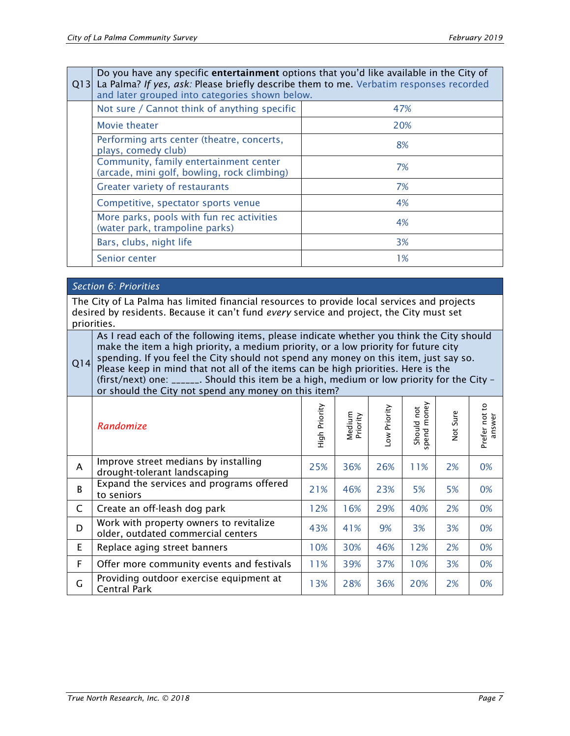| Q13 | Do you have any specific entertainment options that you'd like available in the City of<br>La Palma? If yes, ask: Please briefly describe them to me. Verbatim responses recorded<br>and later grouped into categories shown below. |     |  |  |  |  |  |  |  |
|-----|-------------------------------------------------------------------------------------------------------------------------------------------------------------------------------------------------------------------------------------|-----|--|--|--|--|--|--|--|
|     | Not sure / Cannot think of anything specific                                                                                                                                                                                        | 47% |  |  |  |  |  |  |  |
|     | Movie theater                                                                                                                                                                                                                       | 20% |  |  |  |  |  |  |  |
|     | Performing arts center (theatre, concerts,<br>plays, comedy club)                                                                                                                                                                   | 8%  |  |  |  |  |  |  |  |
|     | Community, family entertainment center<br>(arcade, mini golf, bowling, rock climbing)                                                                                                                                               | 7%  |  |  |  |  |  |  |  |
|     | Greater variety of restaurants                                                                                                                                                                                                      | 7%  |  |  |  |  |  |  |  |
|     | Competitive, spectator sports venue                                                                                                                                                                                                 | 4%  |  |  |  |  |  |  |  |
|     | More parks, pools with fun rec activities<br>(water park, trampoline parks)                                                                                                                                                         | 4%  |  |  |  |  |  |  |  |
|     | Bars, clubs, night life                                                                                                                                                                                                             | 3%  |  |  |  |  |  |  |  |
|     | Senior center                                                                                                                                                                                                                       | 1%  |  |  |  |  |  |  |  |

## *Section 6: Priorities*

The City of La Palma has limited financial resources to provide local services and projects desired by residents. Because it can't fund *every* service and project, the City must set priorities.

Q14 As I read each of the following items, please indicate whether you think the City should make the item a high priority, a medium priority, or a low priority for future city spending. If you feel the City should not spend any money on this item, just say so.

Please keep in mind that not all of the items can be high priorities. Here is the (first/next) one: \_\_\_\_\_\_. Should this item be a high, medium or low priority for the City – or should the City not spend any money on this item?

|    | Randomize                                                                     | Priority<br>High | Medium<br>Priority | Low Priority | money<br>not<br>Should<br>$\overline{\sigma}$<br>pen<br>$\overline{ }$ | Sure<br>$\frac{5}{2}$ | °0<br>Prefer not<br>answer |
|----|-------------------------------------------------------------------------------|------------------|--------------------|--------------|------------------------------------------------------------------------|-----------------------|----------------------------|
| A  | Improve street medians by installing<br>drought-tolerant landscaping          | 25%              | 36%                | 26%          | 11%                                                                    | 2%                    | 0%                         |
| B  | Expand the services and programs offered<br>to seniors                        | 21%              | 46%                | 23%          | 5%                                                                     | 5%                    | 0%                         |
| C  | Create an off-leash dog park                                                  | 12%              | 16%                | 29%          | 40%                                                                    | 2%                    | 0%                         |
| D  | Work with property owners to revitalize<br>older, outdated commercial centers | 43%              | 41%                | 9%           | 3%                                                                     | 3%                    | 0%                         |
| E  | Replace aging street banners                                                  | 10%              | 30%                | 46%          | 12%                                                                    | 2%                    | 0%                         |
| F. | Offer more community events and festivals                                     | 11%              | 39%                | 37%          | 10%                                                                    | 3%                    | 0%                         |
| G  | Providing outdoor exercise equipment at<br><b>Central Park</b>                | 13%              | 28%                | 36%          | 20%                                                                    | 2%                    | 0%                         |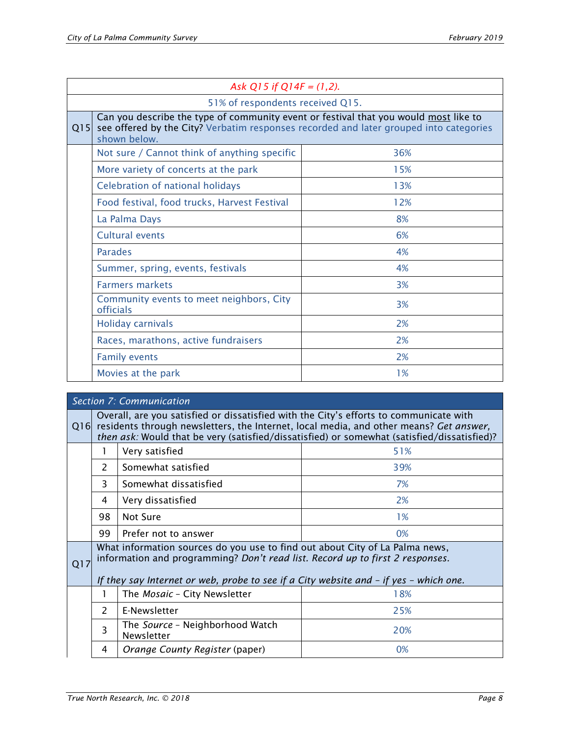| Ask Q15 if $Q14F = (1,2)$ . |                                                                                                                                                                                                    |     |  |  |  |
|-----------------------------|----------------------------------------------------------------------------------------------------------------------------------------------------------------------------------------------------|-----|--|--|--|
|                             | 51% of respondents received Q15.                                                                                                                                                                   |     |  |  |  |
|                             | Can you describe the type of community event or festival that you would most like to<br>Q15 see offered by the City? Verbatim responses recorded and later grouped into categories<br>shown below. |     |  |  |  |
|                             | Not sure / Cannot think of anything specific                                                                                                                                                       | 36% |  |  |  |
|                             | More variety of concerts at the park                                                                                                                                                               | 15% |  |  |  |
|                             | <b>Celebration of national holidays</b>                                                                                                                                                            | 13% |  |  |  |
|                             | Food festival, food trucks, Harvest Festival                                                                                                                                                       | 12% |  |  |  |
|                             | La Palma Days                                                                                                                                                                                      | 8%  |  |  |  |
|                             | <b>Cultural events</b>                                                                                                                                                                             | 6%  |  |  |  |
|                             | <b>Parades</b>                                                                                                                                                                                     | 4%  |  |  |  |
|                             | Summer, spring, events, festivals                                                                                                                                                                  | 4%  |  |  |  |
|                             | <b>Farmers markets</b>                                                                                                                                                                             | 3%  |  |  |  |
|                             | Community events to meet neighbors, City<br><b>officials</b>                                                                                                                                       | 3%  |  |  |  |
|                             | Holiday carnivals                                                                                                                                                                                  | 2%  |  |  |  |
|                             | Races, marathons, active fundraisers                                                                                                                                                               | 2%  |  |  |  |
|                             | <b>Family events</b>                                                                                                                                                                               | 2%  |  |  |  |
|                             | Movies at the park                                                                                                                                                                                 | 1%  |  |  |  |

## *Section 7: Communication*

|                                           | Overall, are you satisfied or dissatisfied with the City's efforts to communicate with<br>Q16 residents through newsletters, the Internet, local media, and other means? Get answer,<br>then ask: Would that be very (satisfied/dissatisfied) or somewhat (satisfied/dissatisfied)? |                                               |       |  |  |  |
|-------------------------------------------|-------------------------------------------------------------------------------------------------------------------------------------------------------------------------------------------------------------------------------------------------------------------------------------|-----------------------------------------------|-------|--|--|--|
|                                           |                                                                                                                                                                                                                                                                                     | Very satisfied                                | 51%   |  |  |  |
|                                           | $\overline{2}$                                                                                                                                                                                                                                                                      | Somewhat satisfied                            | 39%   |  |  |  |
|                                           | 3                                                                                                                                                                                                                                                                                   | Somewhat dissatisfied                         | 7%    |  |  |  |
|                                           | 4                                                                                                                                                                                                                                                                                   | Very dissatisfied                             | 2%    |  |  |  |
|                                           | 98                                                                                                                                                                                                                                                                                  | Not Sure                                      | $1\%$ |  |  |  |
|                                           | 99                                                                                                                                                                                                                                                                                  | Prefer not to answer                          | 0%    |  |  |  |
| Q17                                       | What information sources do you use to find out about City of La Palma news,<br>information and programming? Don't read list. Record up to first 2 responses.<br>If they say Internet or web, probe to see if a City website and - if yes - which one.                              |                                               |       |  |  |  |
|                                           | 1                                                                                                                                                                                                                                                                                   | The Mosaic - City Newsletter                  | 18%   |  |  |  |
|                                           | $\overline{2}$                                                                                                                                                                                                                                                                      | E-Newsletter                                  | 25%   |  |  |  |
| 3                                         |                                                                                                                                                                                                                                                                                     | The Source - Neighborhood Watch<br>Newsletter | 20%   |  |  |  |
| 4<br>0%<br>Orange County Register (paper) |                                                                                                                                                                                                                                                                                     |                                               |       |  |  |  |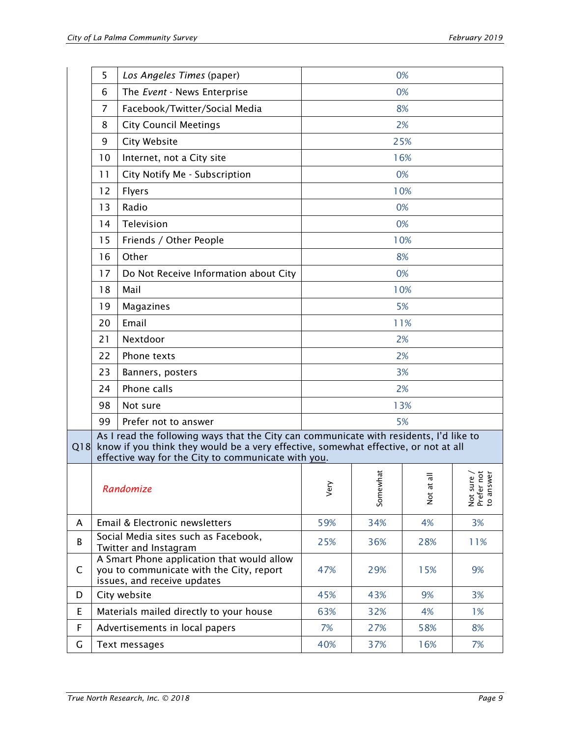|                       | 5                                                                                                                                          | Los Angeles Times (paper)                                                                                             | 0%   |              |                 |                              |  |  |
|-----------------------|--------------------------------------------------------------------------------------------------------------------------------------------|-----------------------------------------------------------------------------------------------------------------------|------|--------------|-----------------|------------------------------|--|--|
|                       | 6                                                                                                                                          | The Event - News Enterprise                                                                                           | 0%   |              |                 |                              |  |  |
|                       | 7                                                                                                                                          | Facebook/Twitter/Social Media                                                                                         | 8%   |              |                 |                              |  |  |
|                       | 8                                                                                                                                          | <b>City Council Meetings</b>                                                                                          | 2%   |              |                 |                              |  |  |
|                       | 9                                                                                                                                          | City Website                                                                                                          |      |              | 25%             |                              |  |  |
|                       | 10                                                                                                                                         | Internet, not a City site                                                                                             |      |              | 16%             |                              |  |  |
|                       | 11                                                                                                                                         | City Notify Me - Subscription                                                                                         |      |              | 0%              |                              |  |  |
|                       | 12                                                                                                                                         | <b>Flyers</b>                                                                                                         | 10%  |              |                 |                              |  |  |
|                       | 13                                                                                                                                         | Radio                                                                                                                 |      |              | 0%              |                              |  |  |
|                       | 14                                                                                                                                         | Television                                                                                                            | 0%   |              |                 |                              |  |  |
|                       | 15                                                                                                                                         | Friends / Other People                                                                                                |      |              | 10%             |                              |  |  |
|                       | 16                                                                                                                                         | Other                                                                                                                 |      |              | 8%              |                              |  |  |
|                       | 17                                                                                                                                         | Do Not Receive Information about City                                                                                 |      |              | 0%              |                              |  |  |
|                       | 18                                                                                                                                         | Mail                                                                                                                  |      |              | 10%             |                              |  |  |
| 5%<br>19<br>Magazines |                                                                                                                                            |                                                                                                                       |      |              |                 |                              |  |  |
|                       | Email<br>20<br>11%                                                                                                                         |                                                                                                                       |      |              |                 |                              |  |  |
|                       | 21                                                                                                                                         | Nextdoor                                                                                                              | 2%   |              |                 |                              |  |  |
|                       | 22                                                                                                                                         | Phone texts                                                                                                           | 2%   |              |                 |                              |  |  |
|                       | 23<br>Banners, posters<br>Phone calls<br>24<br>98<br>Not sure                                                                              |                                                                                                                       | 3%   |              |                 |                              |  |  |
|                       |                                                                                                                                            |                                                                                                                       | 2%   |              |                 |                              |  |  |
|                       |                                                                                                                                            |                                                                                                                       | 13%  |              |                 |                              |  |  |
|                       | 99                                                                                                                                         | Prefer not to answer                                                                                                  | 5%   |              |                 |                              |  |  |
|                       |                                                                                                                                            | As I read the following ways that the City can communicate with residents, I'd like to                                |      |              |                 |                              |  |  |
| Q18                   | know if you think they would be a very effective, somewhat effective, or not at all<br>effective way for the City to communicate with you. |                                                                                                                       |      |              |                 |                              |  |  |
|                       |                                                                                                                                            |                                                                                                                       |      | hat<br>Somew | ᠊ᢛ<br>$\vec{a}$ |                              |  |  |
|                       | Randomize                                                                                                                                  |                                                                                                                       | Very |              | $\frac{5}{2}$   | Not sur<br>Prefer<br>to ansv |  |  |
| A                     |                                                                                                                                            | Email & Electronic newsletters                                                                                        | 59%  | 34%          | 4%              | 3%                           |  |  |
| B                     |                                                                                                                                            | Social Media sites such as Facebook,<br>Twitter and Instagram                                                         | 25%  | 36%          | 28%             | 11%                          |  |  |
| C                     |                                                                                                                                            | A Smart Phone application that would allow<br>you to communicate with the City, report<br>issues, and receive updates | 47%  | 29%          | 15%             | 9%                           |  |  |
| D                     |                                                                                                                                            | City website                                                                                                          | 45%  | 43%          | 9%              | 3%                           |  |  |
| E.                    |                                                                                                                                            | Materials mailed directly to your house                                                                               | 63%  | 32%          | 4%              | 1%                           |  |  |
| F                     |                                                                                                                                            | Advertisements in local papers                                                                                        | 7%   | 27%          | 58%             | 8%                           |  |  |
| G                     |                                                                                                                                            | Text messages                                                                                                         | 40%  | 37%          | 16%             | 7%                           |  |  |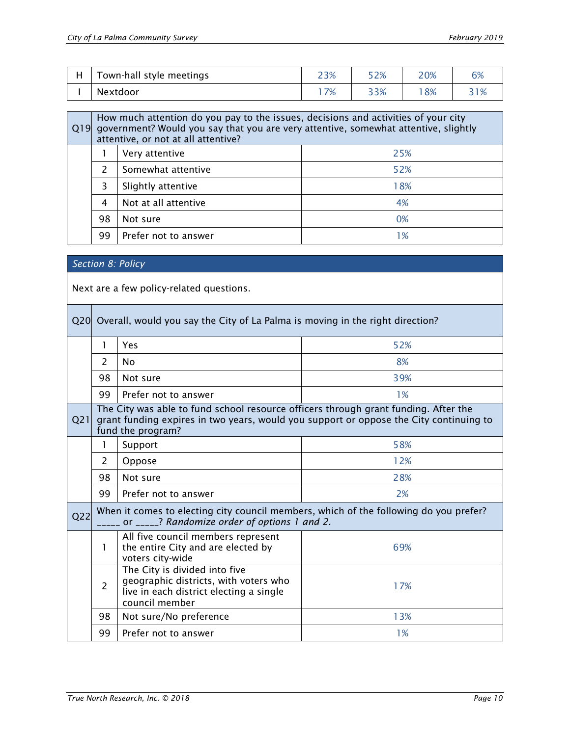| . . | Town-hall style meetings | 23% | 52% | 20% | 6%  |
|-----|--------------------------|-----|-----|-----|-----|
|     | Nextdoor                 | 7%  | 33% | 8%  | 31% |

| Q19 | How much attention do you pay to the issues, decisions and activities of your city<br>government? Would you say that you are very attentive, somewhat attentive, slightly<br>attentive, or not at all attentive? |                      |     |  |  |
|-----|------------------------------------------------------------------------------------------------------------------------------------------------------------------------------------------------------------------|----------------------|-----|--|--|
|     | 25%<br>Very attentive                                                                                                                                                                                            |                      |     |  |  |
|     | 2                                                                                                                                                                                                                | Somewhat attentive   | 52% |  |  |
|     | 3                                                                                                                                                                                                                | Slightly attentive   | 18% |  |  |
|     | 4                                                                                                                                                                                                                | Not at all attentive | 4%  |  |  |
|     | 98                                                                                                                                                                                                               | Not sure             | 0%  |  |  |
|     | 99                                                                                                                                                                                                               | Prefer not to answer | 1%  |  |  |

# *Section 8: Policy*

|     | Next are a few policy-related questions.                                                                                                                                                           |                                                                                                                                     |     |  |  |  |
|-----|----------------------------------------------------------------------------------------------------------------------------------------------------------------------------------------------------|-------------------------------------------------------------------------------------------------------------------------------------|-----|--|--|--|
|     | Q20 Overall, would you say the City of La Palma is moving in the right direction?                                                                                                                  |                                                                                                                                     |     |  |  |  |
|     | Yes<br>52%<br>1                                                                                                                                                                                    |                                                                                                                                     |     |  |  |  |
|     | $\overline{2}$                                                                                                                                                                                     | No                                                                                                                                  | 8%  |  |  |  |
|     | 98                                                                                                                                                                                                 | Not sure                                                                                                                            | 39% |  |  |  |
|     | 99                                                                                                                                                                                                 | Prefer not to answer<br>1%                                                                                                          |     |  |  |  |
| Q21 | The City was able to fund school resource officers through grant funding. After the<br>grant funding expires in two years, would you support or oppose the City continuing to<br>fund the program? |                                                                                                                                     |     |  |  |  |
|     | 1                                                                                                                                                                                                  | Support                                                                                                                             | 58% |  |  |  |
|     | 2                                                                                                                                                                                                  | Oppose                                                                                                                              | 12% |  |  |  |
|     | 98                                                                                                                                                                                                 | Not sure                                                                                                                            | 28% |  |  |  |
|     | 99                                                                                                                                                                                                 | Prefer not to answer                                                                                                                | 2%  |  |  |  |
| Q22 | When it comes to electing city council members, which of the following do you prefer?<br>or _____? Randomize order of options 1 and 2.                                                             |                                                                                                                                     |     |  |  |  |
|     | 1                                                                                                                                                                                                  | All five council members represent<br>the entire City and are elected by<br>voters city-wide                                        | 69% |  |  |  |
|     | $\overline{2}$                                                                                                                                                                                     | The City is divided into five<br>geographic districts, with voters who<br>live in each district electing a single<br>council member | 17% |  |  |  |
|     | 98                                                                                                                                                                                                 | Not sure/No preference                                                                                                              | 13% |  |  |  |
|     | Prefer not to answer<br>99<br>1%                                                                                                                                                                   |                                                                                                                                     |     |  |  |  |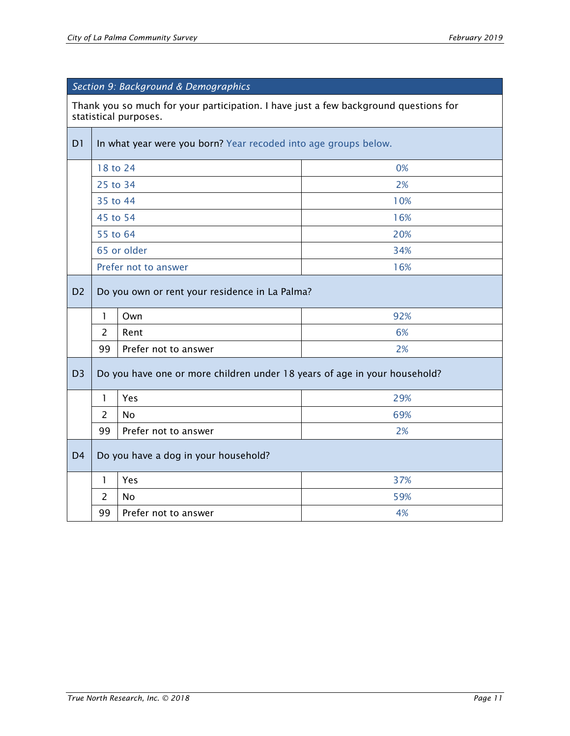## *Section 9: Background & Demographics*

Thank you so much for your participation. I have just a few background questions for statistical purposes.

| D <sub>1</sub> | In what year were you born? Year recoded into age groups below.           |                                                |     |  |  |  |
|----------------|---------------------------------------------------------------------------|------------------------------------------------|-----|--|--|--|
|                | 18 to 24                                                                  |                                                | 0%  |  |  |  |
|                | 25 to 34                                                                  |                                                | 2%  |  |  |  |
|                | 35 to 44                                                                  |                                                | 10% |  |  |  |
|                | 45 to 54                                                                  |                                                | 16% |  |  |  |
|                | 55 to 64                                                                  |                                                | 20% |  |  |  |
|                |                                                                           | 65 or older                                    | 34% |  |  |  |
|                |                                                                           | Prefer not to answer                           | 16% |  |  |  |
| D <sub>2</sub> |                                                                           | Do you own or rent your residence in La Palma? |     |  |  |  |
|                | 1                                                                         | Own                                            | 92% |  |  |  |
|                | 2                                                                         | Rent                                           | 6%  |  |  |  |
|                | 99                                                                        | Prefer not to answer                           | 2%  |  |  |  |
| D <sub>3</sub> | Do you have one or more children under 18 years of age in your household? |                                                |     |  |  |  |
|                | $\mathbf{1}$                                                              | Yes                                            | 29% |  |  |  |
|                | $\overline{2}$                                                            | <b>No</b>                                      | 69% |  |  |  |
|                | 99                                                                        | Prefer not to answer                           | 2%  |  |  |  |
| D <sub>4</sub> | Do you have a dog in your household?                                      |                                                |     |  |  |  |
|                | $\mathbf{1}$                                                              | Yes                                            | 37% |  |  |  |
|                | $\overline{2}$                                                            | No                                             | 59% |  |  |  |
|                | Prefer not to answer<br>99<br>4%                                          |                                                |     |  |  |  |